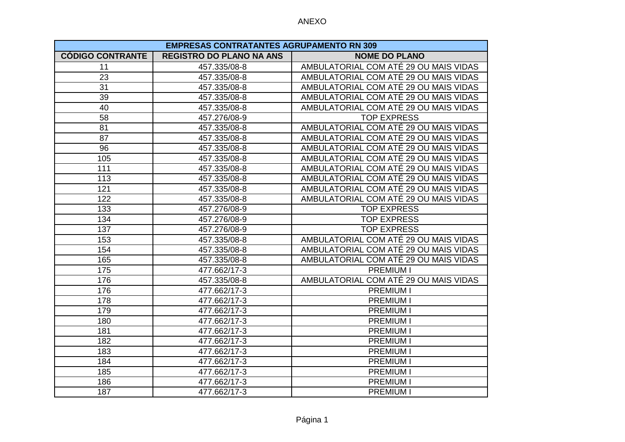| <b>EMPRESAS CONTRATANTES AGRUPAMENTO RN 309</b> |                                 |                                       |
|-------------------------------------------------|---------------------------------|---------------------------------------|
| <b>CÓDIGO CONTRANTE</b>                         | <b>REGISTRO DO PLANO NA ANS</b> | <b>NOME DO PLANO</b>                  |
| 11                                              | 457.335/08-8                    | AMBULATORIAL COM ATÉ 29 OU MAIS VIDAS |
| 23                                              | 457.335/08-8                    | AMBULATORIAL COM ATÉ 29 OU MAIS VIDAS |
| 31                                              | 457.335/08-8                    | AMBULATORIAL COM ATÉ 29 OU MAIS VIDAS |
| 39                                              | 457.335/08-8                    | AMBULATORIAL COM ATÉ 29 OU MAIS VIDAS |
| 40                                              | 457.335/08-8                    | AMBULATORIAL COM ATÉ 29 OU MAIS VIDAS |
| 58                                              | 457.276/08-9                    | <b>TOP EXPRESS</b>                    |
| 81                                              | 457.335/08-8                    | AMBULATORIAL COM ATÉ 29 OU MAIS VIDAS |
| 87                                              | 457.335/08-8                    | AMBULATORIAL COM ATÉ 29 OU MAIS VIDAS |
| 96                                              | 457.335/08-8                    | AMBULATORIAL COM ATÉ 29 OU MAIS VIDAS |
| 105                                             | 457.335/08-8                    | AMBULATORIAL COM ATÉ 29 OU MAIS VIDAS |
| 111                                             | 457.335/08-8                    | AMBULATORIAL COM ATÉ 29 OU MAIS VIDAS |
| 113                                             | 457.335/08-8                    | AMBULATORIAL COM ATÉ 29 OU MAIS VIDAS |
| 121                                             | 457.335/08-8                    | AMBULATORIAL COM ATÉ 29 OU MAIS VIDAS |
| 122                                             | 457.335/08-8                    | AMBULATORIAL COM ATÉ 29 OU MAIS VIDAS |
| 133                                             | 457.276/08-9                    | <b>TOP EXPRESS</b>                    |
| 134                                             | 457.276/08-9                    | <b>TOP EXPRESS</b>                    |
| 137                                             | 457.276/08-9                    | <b>TOP EXPRESS</b>                    |
| 153                                             | 457.335/08-8                    | AMBULATORIAL COM ATÉ 29 OU MAIS VIDAS |
| 154                                             | 457.335/08-8                    | AMBULATORIAL COM ATÉ 29 OU MAIS VIDAS |
| 165                                             | 457.335/08-8                    | AMBULATORIAL COM ATÉ 29 OU MAIS VIDAS |
| 175                                             | 477.662/17-3                    | <b>PREMIUM I</b>                      |
| 176                                             | 457.335/08-8                    | AMBULATORIAL COM ATÉ 29 OU MAIS VIDAS |
| 176                                             | 477.662/17-3                    | <b>PREMIUM I</b>                      |
| 178                                             | 477.662/17-3                    | <b>PREMIUM I</b>                      |
| 179                                             | 477.662/17-3                    | <b>PREMIUM I</b>                      |
| 180                                             | 477.662/17-3                    | <b>PREMIUM I</b>                      |
| 181                                             | 477.662/17-3                    | <b>PREMIUM I</b>                      |
| 182                                             | 477.662/17-3                    | <b>PREMIUM I</b>                      |
| 183                                             | 477.662/17-3                    | <b>PREMIUM I</b>                      |
| 184                                             | 477.662/17-3                    | <b>PREMIUM I</b>                      |
| 185                                             | 477.662/17-3                    | <b>PREMIUM I</b>                      |
| 186                                             | 477.662/17-3                    | <b>PREMIUM I</b>                      |
| 187                                             | 477.662/17-3                    | <b>PREMIUM I</b>                      |